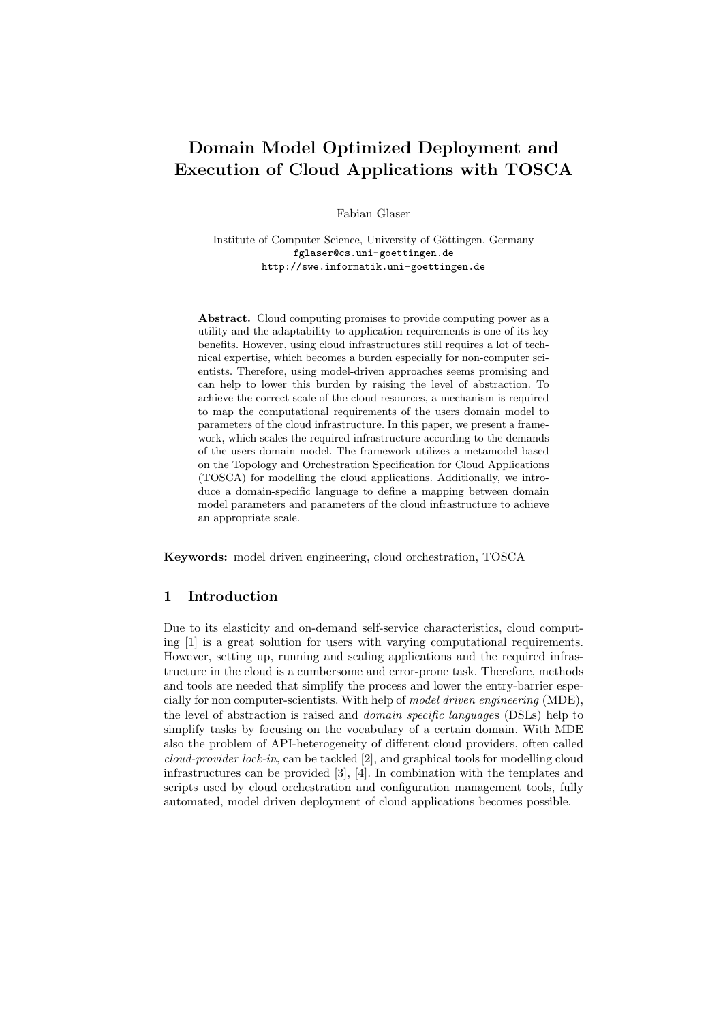# Domain Model Optimized Deployment and Execution of Cloud Applications with TOSCA

Fabian Glaser

Institute of Computer Science, University of Göttingen, Germany fglaser@cs.uni-goettingen.de http://swe.informatik.uni-goettingen.de

Abstract. Cloud computing promises to provide computing power as a utility and the adaptability to application requirements is one of its key benefits. However, using cloud infrastructures still requires a lot of technical expertise, which becomes a burden especially for non-computer scientists. Therefore, using model-driven approaches seems promising and can help to lower this burden by raising the level of abstraction. To achieve the correct scale of the cloud resources, a mechanism is required to map the computational requirements of the users domain model to parameters of the cloud infrastructure. In this paper, we present a framework, which scales the required infrastructure according to the demands of the users domain model. The framework utilizes a metamodel based on the Topology and Orchestration Specification for Cloud Applications (TOSCA) for modelling the cloud applications. Additionally, we introduce a domain-specific language to define a mapping between domain model parameters and parameters of the cloud infrastructure to achieve an appropriate scale.

Keywords: model driven engineering, cloud orchestration, TOSCA

### 1 Introduction

Due to its elasticity and on-demand self-service characteristics, cloud computing [1] is a great solution for users with varying computational requirements. However, setting up, running and scaling applications and the required infrastructure in the cloud is a cumbersome and error-prone task. Therefore, methods and tools are needed that simplify the process and lower the entry-barrier especially for non computer-scientists. With help of model driven engineering (MDE), the level of abstraction is raised and domain specific languages (DSLs) help to simplify tasks by focusing on the vocabulary of a certain domain. With MDE also the problem of API-heterogeneity of different cloud providers, often called cloud-provider lock-in, can be tackled [2], and graphical tools for modelling cloud infrastructures can be provided [3], [4]. In combination with the templates and scripts used by cloud orchestration and configuration management tools, fully automated, model driven deployment of cloud applications becomes possible.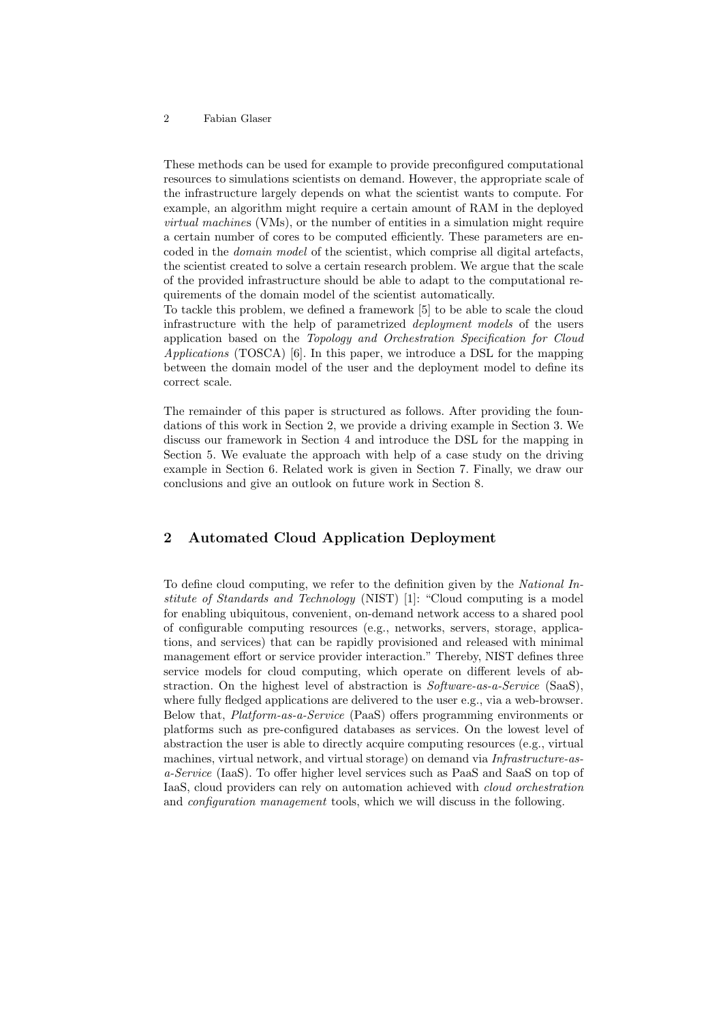These methods can be used for example to provide preconfigured computational resources to simulations scientists on demand. However, the appropriate scale of the infrastructure largely depends on what the scientist wants to compute. For example, an algorithm might require a certain amount of RAM in the deployed virtual machines (VMs), or the number of entities in a simulation might require a certain number of cores to be computed efficiently. These parameters are encoded in the domain model of the scientist, which comprise all digital artefacts, the scientist created to solve a certain research problem. We argue that the scale of the provided infrastructure should be able to adapt to the computational requirements of the domain model of the scientist automatically.

To tackle this problem, we defined a framework [5] to be able to scale the cloud infrastructure with the help of parametrized deployment models of the users application based on the Topology and Orchestration Specification for Cloud Applications (TOSCA) [6]. In this paper, we introduce a DSL for the mapping between the domain model of the user and the deployment model to define its correct scale.

The remainder of this paper is structured as follows. After providing the foundations of this work in Section 2, we provide a driving example in Section 3. We discuss our framework in Section 4 and introduce the DSL for the mapping in Section 5. We evaluate the approach with help of a case study on the driving example in Section 6. Related work is given in Section 7. Finally, we draw our conclusions and give an outlook on future work in Section 8.

# 2 Automated Cloud Application Deployment

To define cloud computing, we refer to the definition given by the National Institute of Standards and Technology (NIST) [1]: "Cloud computing is a model for enabling ubiquitous, convenient, on-demand network access to a shared pool of configurable computing resources (e.g., networks, servers, storage, applications, and services) that can be rapidly provisioned and released with minimal management effort or service provider interaction." Thereby, NIST defines three service models for cloud computing, which operate on different levels of abstraction. On the highest level of abstraction is *Software-as-a-Service* (SaaS), where fully fledged applications are delivered to the user e.g., via a web-browser. Below that, Platform-as-a-Service (PaaS) offers programming environments or platforms such as pre-configured databases as services. On the lowest level of abstraction the user is able to directly acquire computing resources (e.g., virtual machines, virtual network, and virtual storage) on demand via Infrastructure-asa-Service (IaaS). To offer higher level services such as PaaS and SaaS on top of IaaS, cloud providers can rely on automation achieved with cloud orchestration and configuration management tools, which we will discuss in the following.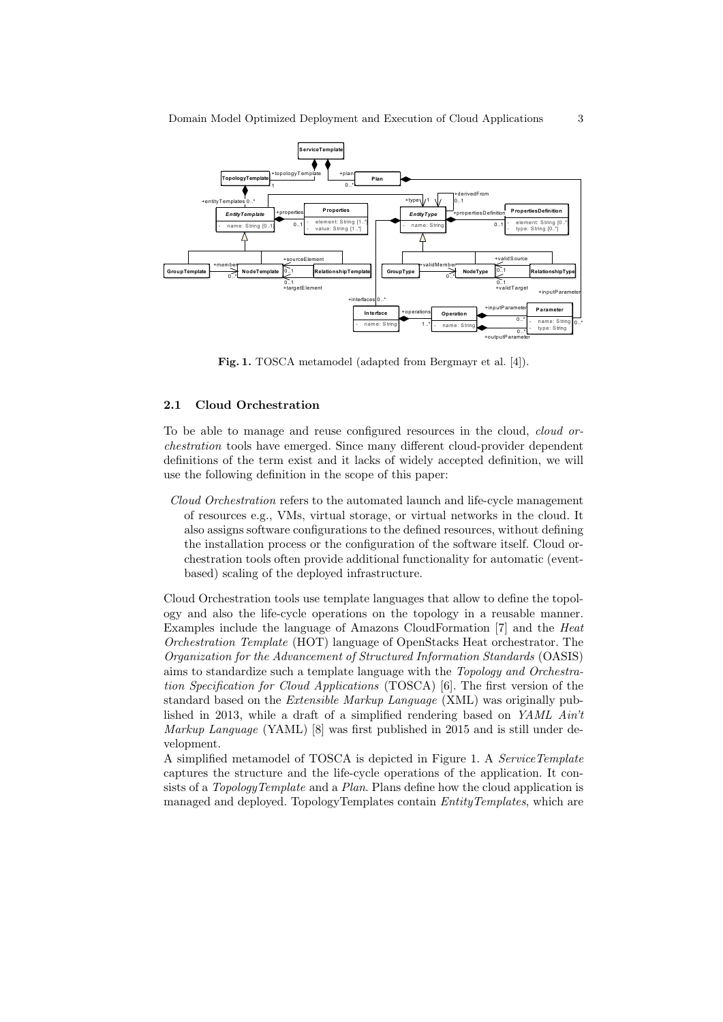

Fig. 1. TOSCA metamodel (adapted from Bergmayr et al. [4]).

### 2.1 Cloud Orchestration

To be able to manage and reuse configured resources in the cloud, cloud orchestration tools have emerged. Since many different cloud-provider dependent definitions of the term exist and it lacks of widely accepted definition, we will use the following definition in the scope of this paper:

Cloud Orchestration refers to the automated launch and life-cycle management of resources e.g., VMs, virtual storage, or virtual networks in the cloud. It also assigns software configurations to the defined resources, without defining the installation process or the configuration of the software itself. Cloud orchestration tools often provide additional functionality for automatic (eventbased) scaling of the deployed infrastructure.

Cloud Orchestration tools use template languages that allow to define the topology and also the life-cycle operations on the topology in a reusable manner. Examples include the language of Amazons CloudFormation [7] and the Heat Orchestration Template (HOT) language of OpenStacks Heat orchestrator. The Organization for the Advancement of Structured Information Standards (OASIS) aims to standardize such a template language with the Topology and Orchestration Specification for Cloud Applications (TOSCA) [6]. The first version of the standard based on the *Extensible Markup Language* (XML) was originally published in 2013, while a draft of a simplified rendering based on YAML Ain't Markup Language (YAML) [8] was first published in 2015 and is still under development.

A simplified metamodel of TOSCA is depicted in Figure 1. A ServiceTemplate captures the structure and the life-cycle operations of the application. It consists of a TopologyTemplate and a Plan. Plans define how the cloud application is managed and deployed. TopologyTemplates contain *EntityTemplates*, which are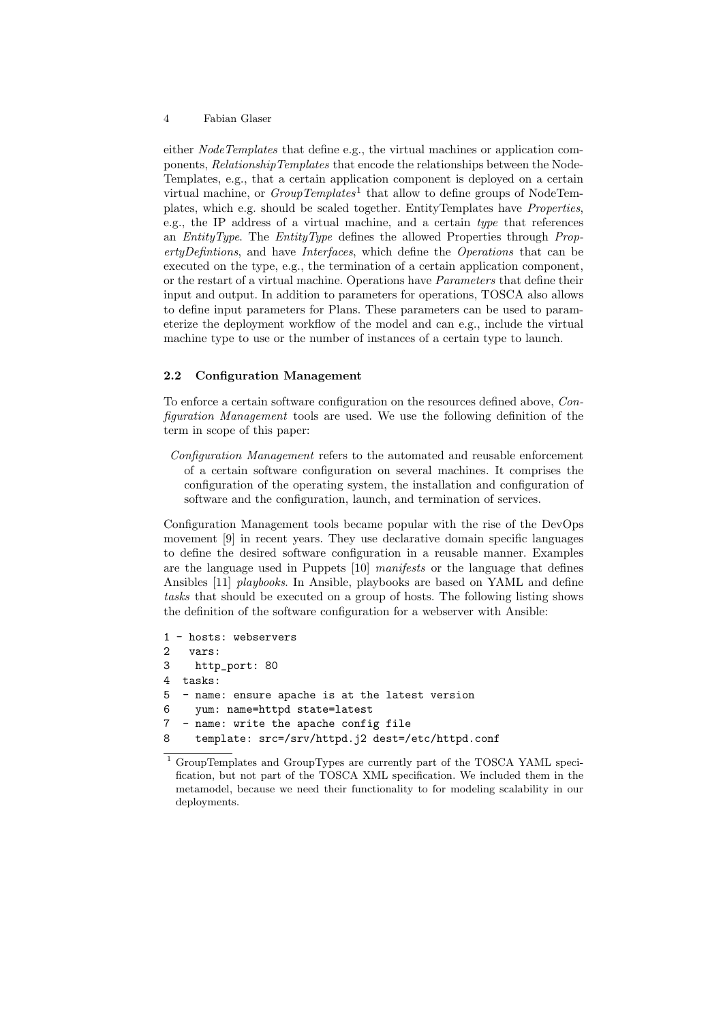either NodeTemplates that define e.g., the virtual machines or application components, RelationshipTemplates that encode the relationships between the Node-Templates, e.g., that a certain application component is deployed on a certain virtual machine, or  $GroupTemplates<sup>1</sup>$  that allow to define groups of NodeTemplates, which e.g. should be scaled together. EntityTemplates have Properties, e.g., the IP address of a virtual machine, and a certain type that references an EntityType. The EntityType defines the allowed Properties through PropertyDefintions, and have Interfaces, which define the Operations that can be executed on the type, e.g., the termination of a certain application component, or the restart of a virtual machine. Operations have Parameters that define their input and output. In addition to parameters for operations, TOSCA also allows to define input parameters for Plans. These parameters can be used to parameterize the deployment workflow of the model and can e.g., include the virtual machine type to use or the number of instances of a certain type to launch.

### 2.2 Configuration Management

To enforce a certain software configuration on the resources defined above, Configuration Management tools are used. We use the following definition of the term in scope of this paper:

Configuration Management refers to the automated and reusable enforcement of a certain software configuration on several machines. It comprises the configuration of the operating system, the installation and configuration of software and the configuration, launch, and termination of services.

Configuration Management tools became popular with the rise of the DevOps movement [9] in recent years. They use declarative domain specific languages to define the desired software configuration in a reusable manner. Examples are the language used in Puppets [10] manifests or the language that defines Ansibles [11] playbooks. In Ansible, playbooks are based on YAML and define tasks that should be executed on a group of hosts. The following listing shows the definition of the software configuration for a webserver with Ansible:

```
1 - hosts: webservers
2 vars:
3 http_port: 80
4 tasks:
5 - name: ensure apache is at the latest version
6 yum: name=httpd state=latest
7 - name: write the apache config file
8 template: src=/srv/httpd.j2 dest=/etc/httpd.conf
```
 $^{\rm 1}$  GroupTemplates and GroupTypes are currently part of the TOSCA YAML specification, but not part of the TOSCA XML specification. We included them in the metamodel, because we need their functionality to for modeling scalability in our deployments.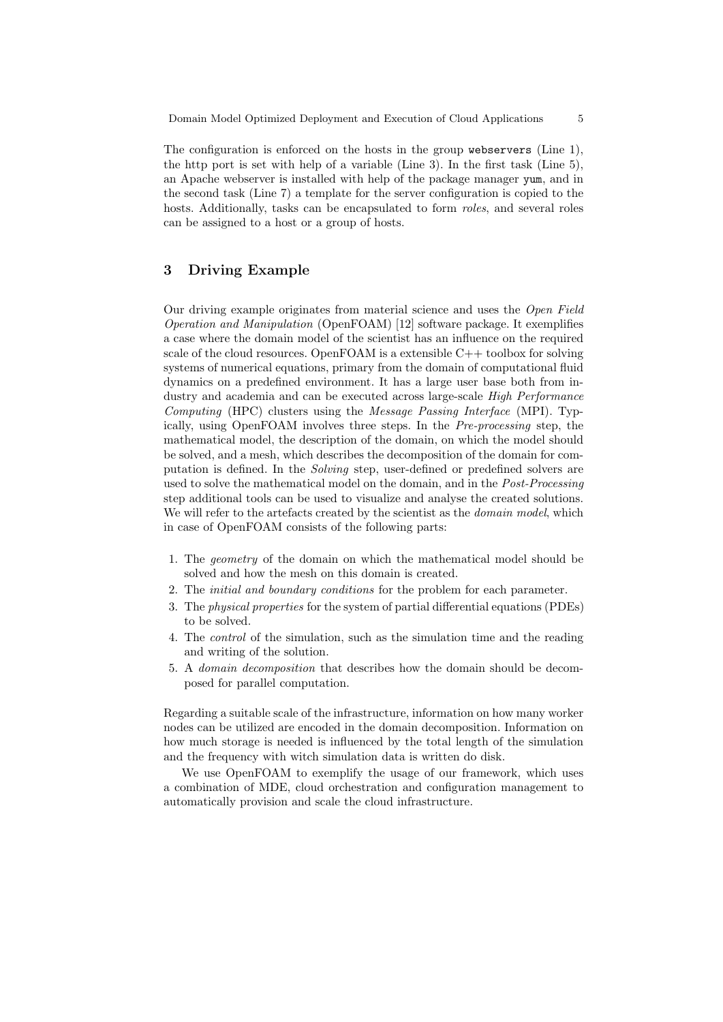The configuration is enforced on the hosts in the group webservers (Line 1), the http port is set with help of a variable (Line 3). In the first task (Line 5), an Apache webserver is installed with help of the package manager yum, and in the second task (Line 7) a template for the server configuration is copied to the hosts. Additionally, tasks can be encapsulated to form *roles*, and several roles can be assigned to a host or a group of hosts.

## 3 Driving Example

Our driving example originates from material science and uses the Open Field Operation and Manipulation (OpenFOAM) [12] software package. It exemplifies a case where the domain model of the scientist has an influence on the required scale of the cloud resources. OpenFOAM is a extensible  $C++$  toolbox for solving systems of numerical equations, primary from the domain of computational fluid dynamics on a predefined environment. It has a large user base both from industry and academia and can be executed across large-scale High Performance Computing (HPC) clusters using the Message Passing Interface (MPI). Typically, using OpenFOAM involves three steps. In the Pre-processing step, the mathematical model, the description of the domain, on which the model should be solved, and a mesh, which describes the decomposition of the domain for computation is defined. In the Solving step, user-defined or predefined solvers are used to solve the mathematical model on the domain, and in the *Post-Processing* step additional tools can be used to visualize and analyse the created solutions. We will refer to the artefacts created by the scientist as the *domain model*, which in case of OpenFOAM consists of the following parts:

- 1. The geometry of the domain on which the mathematical model should be solved and how the mesh on this domain is created.
- 2. The initial and boundary conditions for the problem for each parameter.
- 3. The physical properties for the system of partial differential equations (PDEs) to be solved.
- 4. The control of the simulation, such as the simulation time and the reading and writing of the solution.
- 5. A domain decomposition that describes how the domain should be decomposed for parallel computation.

Regarding a suitable scale of the infrastructure, information on how many worker nodes can be utilized are encoded in the domain decomposition. Information on how much storage is needed is influenced by the total length of the simulation and the frequency with witch simulation data is written do disk.

We use OpenFOAM to exemplify the usage of our framework, which uses a combination of MDE, cloud orchestration and configuration management to automatically provision and scale the cloud infrastructure.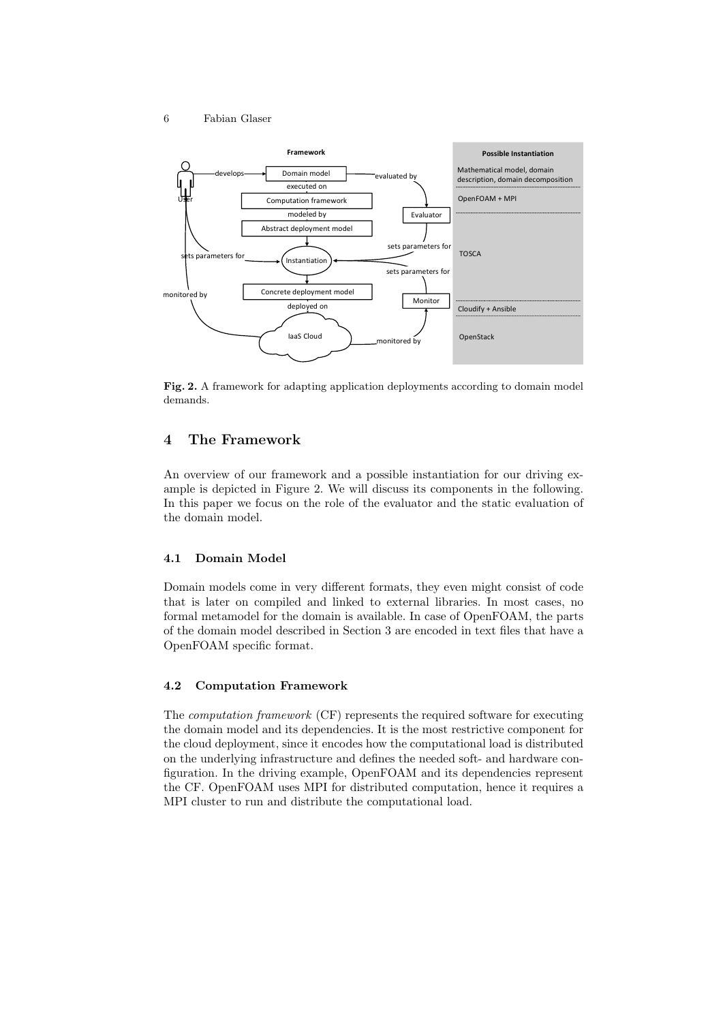

Fig. 2. A framework for adapting application deployments according to domain model demands.

# 4 The Framework

An overview of our framework and a possible instantiation for our driving example is depicted in Figure 2. We will discuss its components in the following. In this paper we focus on the role of the evaluator and the static evaluation of the domain model.

### 4.1 Domain Model

Domain models come in very different formats, they even might consist of code that is later on compiled and linked to external libraries. In most cases, no formal metamodel for the domain is available. In case of OpenFOAM, the parts of the domain model described in Section 3 are encoded in text files that have a OpenFOAM specific format.

### 4.2 Computation Framework

The computation framework (CF) represents the required software for executing the domain model and its dependencies. It is the most restrictive component for the cloud deployment, since it encodes how the computational load is distributed on the underlying infrastructure and defines the needed soft- and hardware configuration. In the driving example, OpenFOAM and its dependencies represent the CF. OpenFOAM uses MPI for distributed computation, hence it requires a MPI cluster to run and distribute the computational load.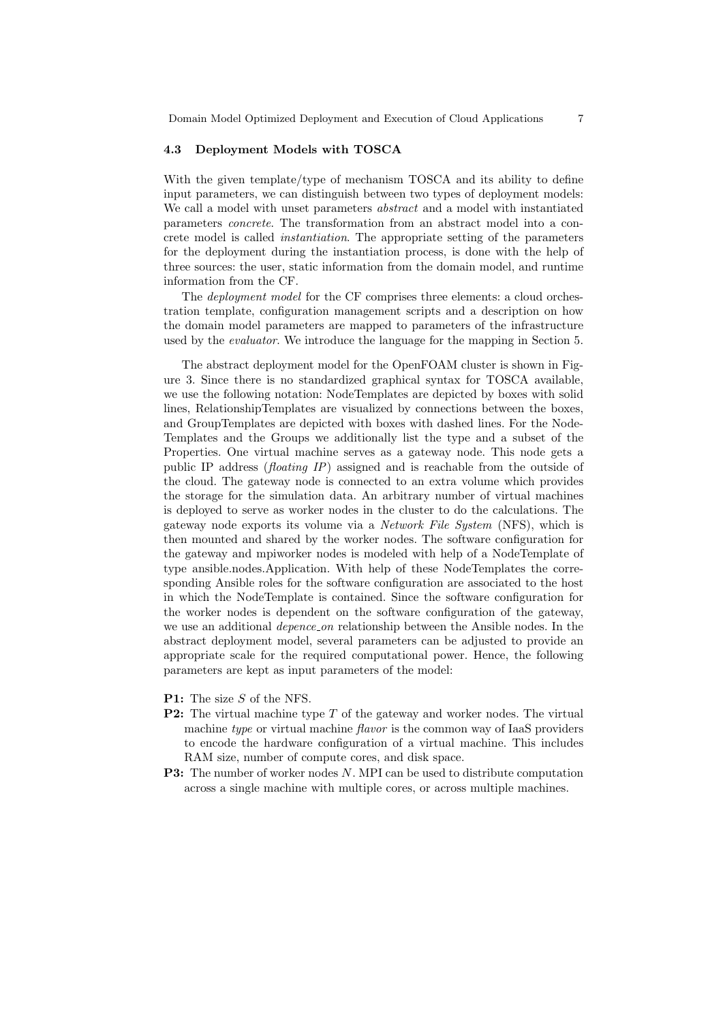### 4.3 Deployment Models with TOSCA

With the given template/type of mechanism TOSCA and its ability to define input parameters, we can distinguish between two types of deployment models: We call a model with unset parameters *abstract* and a model with instantiated parameters concrete. The transformation from an abstract model into a concrete model is called instantiation. The appropriate setting of the parameters for the deployment during the instantiation process, is done with the help of three sources: the user, static information from the domain model, and runtime information from the CF.

The *deployment model* for the CF comprises three elements: a cloud orchestration template, configuration management scripts and a description on how the domain model parameters are mapped to parameters of the infrastructure used by the evaluator. We introduce the language for the mapping in Section 5.

The abstract deployment model for the OpenFOAM cluster is shown in Figure 3. Since there is no standardized graphical syntax for TOSCA available, we use the following notation: NodeTemplates are depicted by boxes with solid lines, RelationshipTemplates are visualized by connections between the boxes, and GroupTemplates are depicted with boxes with dashed lines. For the Node-Templates and the Groups we additionally list the type and a subset of the Properties. One virtual machine serves as a gateway node. This node gets a public IP address (floating IP) assigned and is reachable from the outside of the cloud. The gateway node is connected to an extra volume which provides the storage for the simulation data. An arbitrary number of virtual machines is deployed to serve as worker nodes in the cluster to do the calculations. The gateway node exports its volume via a Network File System (NFS), which is then mounted and shared by the worker nodes. The software configuration for the gateway and mpiworker nodes is modeled with help of a NodeTemplate of type ansible.nodes.Application. With help of these NodeTemplates the corresponding Ansible roles for the software configuration are associated to the host in which the NodeTemplate is contained. Since the software configuration for the worker nodes is dependent on the software configuration of the gateway, we use an additional *depence on* relationship between the Ansible nodes. In the abstract deployment model, several parameters can be adjusted to provide an appropriate scale for the required computational power. Hence, the following parameters are kept as input parameters of the model:

- P1: The size S of the NFS.
- **P2:** The virtual machine type  $T$  of the gateway and worker nodes. The virtual machine type or virtual machine flavor is the common way of IaaS providers to encode the hardware configuration of a virtual machine. This includes RAM size, number of compute cores, and disk space.
- P3: The number of worker nodes N. MPI can be used to distribute computation across a single machine with multiple cores, or across multiple machines.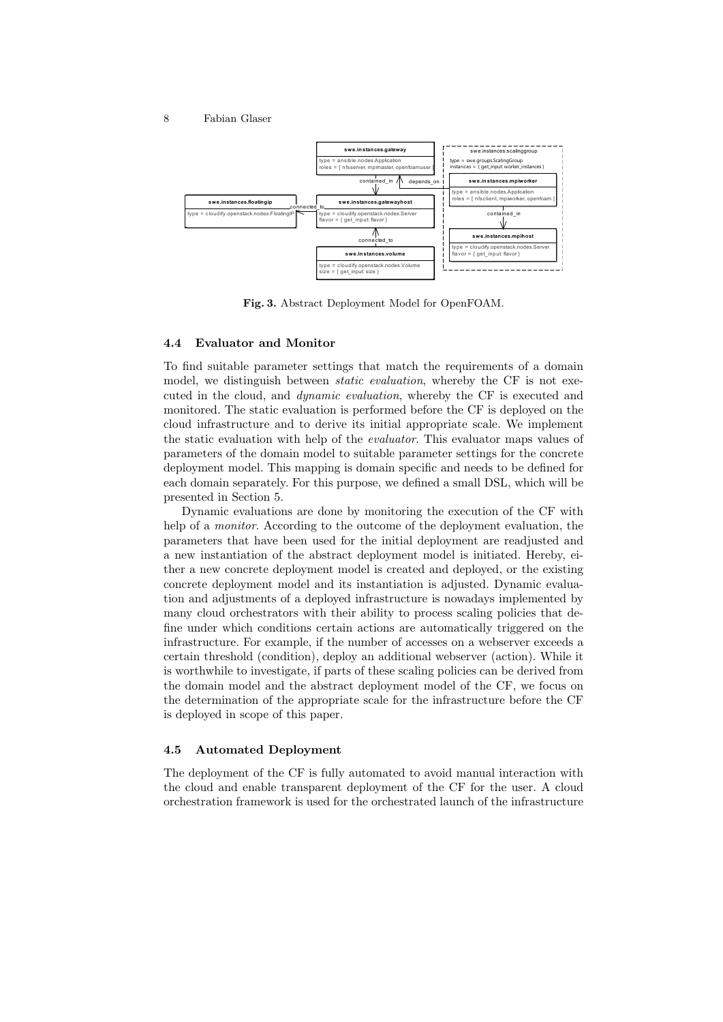

Fig. 3. Abstract Deployment Model for OpenFOAM.

#### 4.4 Evaluator and Monitor

To find suitable parameter settings that match the requirements of a domain model, we distinguish between *static evaluation*, whereby the CF is not executed in the cloud, and dynamic evaluation, whereby the CF is executed and monitored. The static evaluation is performed before the CF is deployed on the cloud infrastructure and to derive its initial appropriate scale. We implement the static evaluation with help of the evaluator. This evaluator maps values of parameters of the domain model to suitable parameter settings for the concrete deployment model. This mapping is domain specific and needs to be defined for each domain separately. For this purpose, we defined a small DSL, which will be presented in Section 5.

Dynamic evaluations are done by monitoring the execution of the CF with help of a monitor. According to the outcome of the deployment evaluation, the parameters that have been used for the initial deployment are readjusted and a new instantiation of the abstract deployment model is initiated. Hereby, either a new concrete deployment model is created and deployed, or the existing concrete deployment model and its instantiation is adjusted. Dynamic evaluation and adjustments of a deployed infrastructure is nowadays implemented by many cloud orchestrators with their ability to process scaling policies that define under which conditions certain actions are automatically triggered on the infrastructure. For example, if the number of accesses on a webserver exceeds a certain threshold (condition), deploy an additional webserver (action). While it is worthwhile to investigate, if parts of these scaling policies can be derived from the domain model and the abstract deployment model of the CF, we focus on the determination of the appropriate scale for the infrastructure before the CF is deployed in scope of this paper.

### 4.5 Automated Deployment

The deployment of the CF is fully automated to avoid manual interaction with the cloud and enable transparent deployment of the CF for the user. A cloud orchestration framework is used for the orchestrated launch of the infrastructure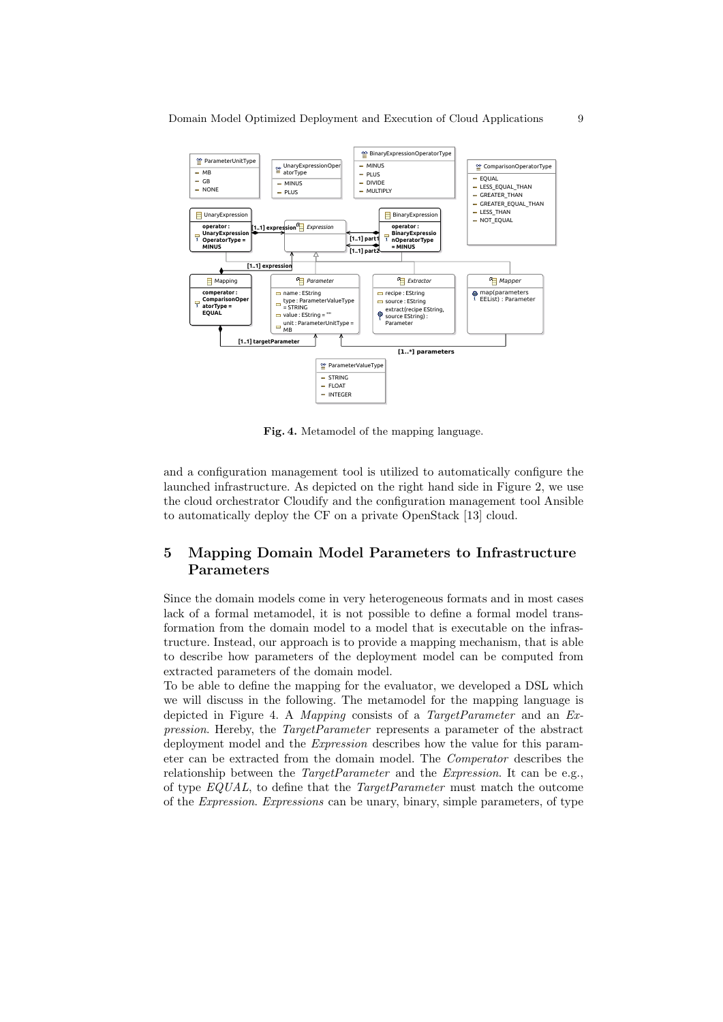

Fig. 4. Metamodel of the mapping language.

and a configuration management tool is utilized to automatically configure the launched infrastructure. As depicted on the right hand side in Figure 2, we use the cloud orchestrator Cloudify and the configuration management tool Ansible to automatically deploy the CF on a private OpenStack [13] cloud.

# 5 Mapping Domain Model Parameters to Infrastructure Parameters

Since the domain models come in very heterogeneous formats and in most cases lack of a formal metamodel, it is not possible to define a formal model transformation from the domain model to a model that is executable on the infrastructure. Instead, our approach is to provide a mapping mechanism, that is able to describe how parameters of the deployment model can be computed from extracted parameters of the domain model.

To be able to define the mapping for the evaluator, we developed a DSL which we will discuss in the following. The metamodel for the mapping language is depicted in Figure 4. A *Mapping* consists of a *TargetParameter* and an  $Ex$ pression. Hereby, the TargetParameter represents a parameter of the abstract deployment model and the *Expression* describes how the value for this parameter can be extracted from the domain model. The Comperator describes the relationship between the  $TargetParameter$  and the Expression. It can be e.g., of type EQUAL, to define that the TargetParameter must match the outcome of the Expression. Expressions can be unary, binary, simple parameters, of type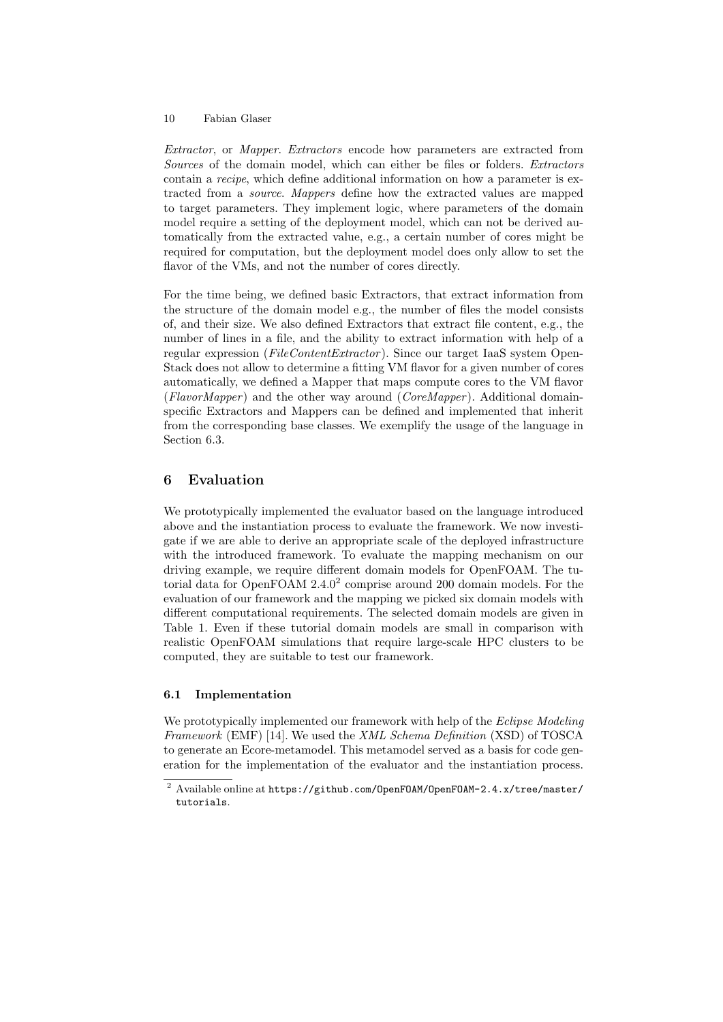Extractor, or Mapper. Extractors encode how parameters are extracted from Sources of the domain model, which can either be files or folders. Extractors contain a recipe, which define additional information on how a parameter is extracted from a source. Mappers define how the extracted values are mapped to target parameters. They implement logic, where parameters of the domain model require a setting of the deployment model, which can not be derived automatically from the extracted value, e.g., a certain number of cores might be required for computation, but the deployment model does only allow to set the flavor of the VMs, and not the number of cores directly.

For the time being, we defined basic Extractors, that extract information from the structure of the domain model e.g., the number of files the model consists of, and their size. We also defined Extractors that extract file content, e.g., the number of lines in a file, and the ability to extract information with help of a regular expression (FileContentExtractor). Since our target IaaS system Open-Stack does not allow to determine a fitting VM flavor for a given number of cores automatically, we defined a Mapper that maps compute cores to the VM flavor  $(FlavorMapper)$  and the other way around  $(CoreMapper)$ . Additional domainspecific Extractors and Mappers can be defined and implemented that inherit from the corresponding base classes. We exemplify the usage of the language in Section 6.3.

### 6 Evaluation

We prototypically implemented the evaluator based on the language introduced above and the instantiation process to evaluate the framework. We now investigate if we are able to derive an appropriate scale of the deployed infrastructure with the introduced framework. To evaluate the mapping mechanism on our driving example, we require different domain models for OpenFOAM. The tutorial data for OpenFOAM  $2.4.0^2$  comprise around 200 domain models. For the evaluation of our framework and the mapping we picked six domain models with different computational requirements. The selected domain models are given in Table 1. Even if these tutorial domain models are small in comparison with realistic OpenFOAM simulations that require large-scale HPC clusters to be computed, they are suitable to test our framework.

### 6.1 Implementation

We prototypically implemented our framework with help of the Eclipse Modeling Framework (EMF) [14]. We used the XML Schema Definition (XSD) of TOSCA to generate an Ecore-metamodel. This metamodel served as a basis for code generation for the implementation of the evaluator and the instantiation process.

 $^2$  Available online at https://github.com/0penF0AM/0penF0AM-2.4.x/tree/master/ tutorials.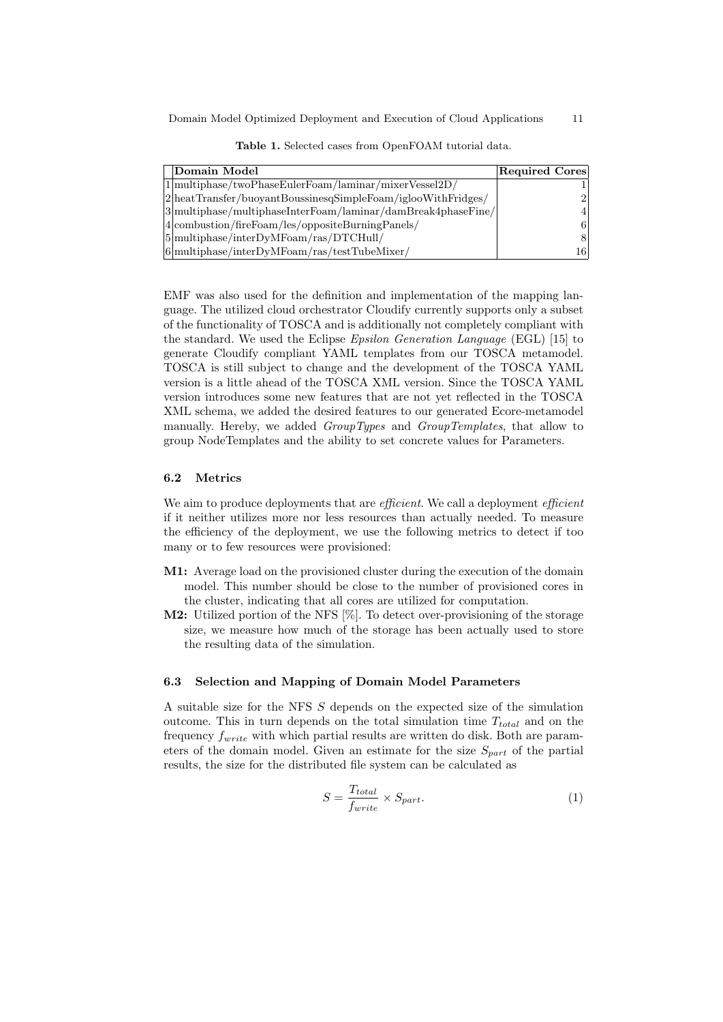Domain Model Optimized Deployment and Execution of Cloud Applications 11

| Domain Model                                                 | Required Cores |     |
|--------------------------------------------------------------|----------------|-----|
| $1  $ multiphase/twoPhaseEulerFoam/laminar/mixerVessel $2D/$ |                |     |
| 2 heatTransfer/buoyantBoussinesqSimpleFoam/iglooWithFridges/ |                |     |
| 3 multiphase/multiphaseInterFoam/laminar/damBreak4phaseFine/ |                |     |
| 4   combustion/fireFoam/les/oppositeBurningPanels/           |                | 61  |
| $5  $ multiphase/interDyMFoam/ras/DTCHull/                   |                |     |
| $ 6 $ multiphase/interDyMFoam/ras/testTubeMixer/             |                | 16! |

Table 1. Selected cases from OpenFOAM tutorial data.

EMF was also used for the definition and implementation of the mapping language. The utilized cloud orchestrator Cloudify currently supports only a subset of the functionality of TOSCA and is additionally not completely compliant with the standard. We used the Eclipse Epsilon Generation Language (EGL) [15] to generate Cloudify compliant YAML templates from our TOSCA metamodel. TOSCA is still subject to change and the development of the TOSCA YAML version is a little ahead of the TOSCA XML version. Since the TOSCA YAML version introduces some new features that are not yet reflected in the TOSCA XML schema, we added the desired features to our generated Ecore-metamodel manually. Hereby, we added *GroupTypes* and *GroupTemplates*, that allow to group NodeTemplates and the ability to set concrete values for Parameters.

### 6.2 Metrics

We aim to produce deployments that are *efficient*. We call a deployment *efficient* if it neither utilizes more nor less resources than actually needed. To measure the efficiency of the deployment, we use the following metrics to detect if too many or to few resources were provisioned:

- M1: Average load on the provisioned cluster during the execution of the domain model. This number should be close to the number of provisioned cores in the cluster, indicating that all cores are utilized for computation.
- M2: Utilized portion of the NFS [%]. To detect over-provisioning of the storage size, we measure how much of the storage has been actually used to store the resulting data of the simulation.

### 6.3 Selection and Mapping of Domain Model Parameters

A suitable size for the NFS S depends on the expected size of the simulation outcome. This in turn depends on the total simulation time  $T_{total}$  and on the frequency  $f_{write}$  with which partial results are written do disk. Both are parameters of the domain model. Given an estimate for the size  $S_{part}$  of the partial results, the size for the distributed file system can be calculated as

$$
S = \frac{T_{total}}{f_{write}} \times S_{part}.
$$
\n(1)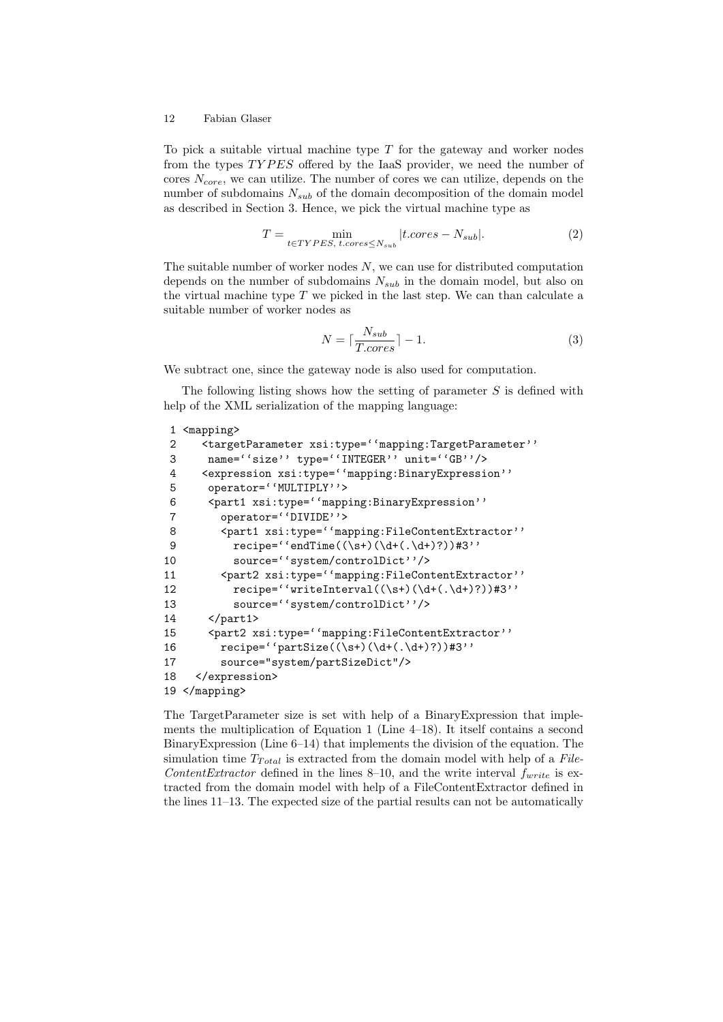To pick a suitable virtual machine type  $T$  for the gateway and worker nodes from the types TYPES offered by the IaaS provider, we need the number of cores  $N_{core}$ , we can utilize. The number of cores we can utilize, depends on the number of subdomains  $N_{sub}$  of the domain decomposition of the domain model as described in Section 3. Hence, we pick the virtual machine type as

$$
T = \min_{t \in TYPES, \ t. cores \le N_{sub}} |t. cores - N_{sub}|.
$$
 (2)

The suitable number of worker nodes  $N$ , we can use for distributed computation depends on the number of subdomains  $N_{sub}$  in the domain model, but also on the virtual machine type  $T$  we picked in the last step. We can than calculate a suitable number of worker nodes as

$$
N = \lceil \frac{N_{sub}}{T \cdot cores} \rceil - 1. \tag{3}
$$

We subtract one, since the gateway node is also used for computation.

The following listing shows how the setting of parameter  $S$  is defined with help of the XML serialization of the mapping language:

| $\mathbf{1}$ | <mapping></mapping>                                                                 |
|--------------|-------------------------------------------------------------------------------------|
| 2            | <targetparameter mapping:targetparameter"'<="" td="" xsi:type=""></targetparameter> |
| 3            | name="'size'' type="'INTEGER'' unit="GB''/>                                         |
| 4            | <expression mapping:binaryexpression""<="" td="" xsi:type=""></expression>          |
| 5            | operator="WULTIPLY">>                                                               |
| 6            | <part1 mapping:binaryexpression''<="" td="" xsi:type=""></part1>                    |
| 7            | operator="DIVIDE">>                                                                 |
| 8            | <part1 mapping:filecontentextractor"'<="" td="" xsi:type=""></part1>                |
| 9            | $recipe=$ "endTime((\s+)(\d+(.\d+)?))#3''                                           |
| 10           | source="'system/controlDict''/>                                                     |
| 11           | <part2 mapping:filecontentextractor"'<="" td="" xsi:type=""></part2>                |
| 12           | $recipe = ' 'writeInterval((\s+)(\d+(. \dd+)))*3'$                                  |
| 13           | source="'system/controlDict''/>                                                     |
| 14           | $\langle$ /part1>                                                                   |
| 15           | <part2 mapping:filecontentextractor"'<="" td="" xsi:type=""></part2>                |
| 16           | $recipe=$ '' $partSize((\s+)(\d+(. \d+)))*3"$ '                                     |
| 17           | source="system/partSizeDict"/>                                                      |
| 18           |                                                                                     |
|              | $19 \leq$ mapping>                                                                  |

The TargetParameter size is set with help of a BinaryExpression that implements the multiplication of Equation 1 (Line 4–18). It itself contains a second BinaryExpression (Line 6–14) that implements the division of the equation. The simulation time  $T_{Total}$  is extracted from the domain model with help of a File-ContentExtractor defined in the lines 8–10, and the write interval  $f_{write}$  is extracted from the domain model with help of a FileContentExtractor defined in the lines 11–13. The expected size of the partial results can not be automatically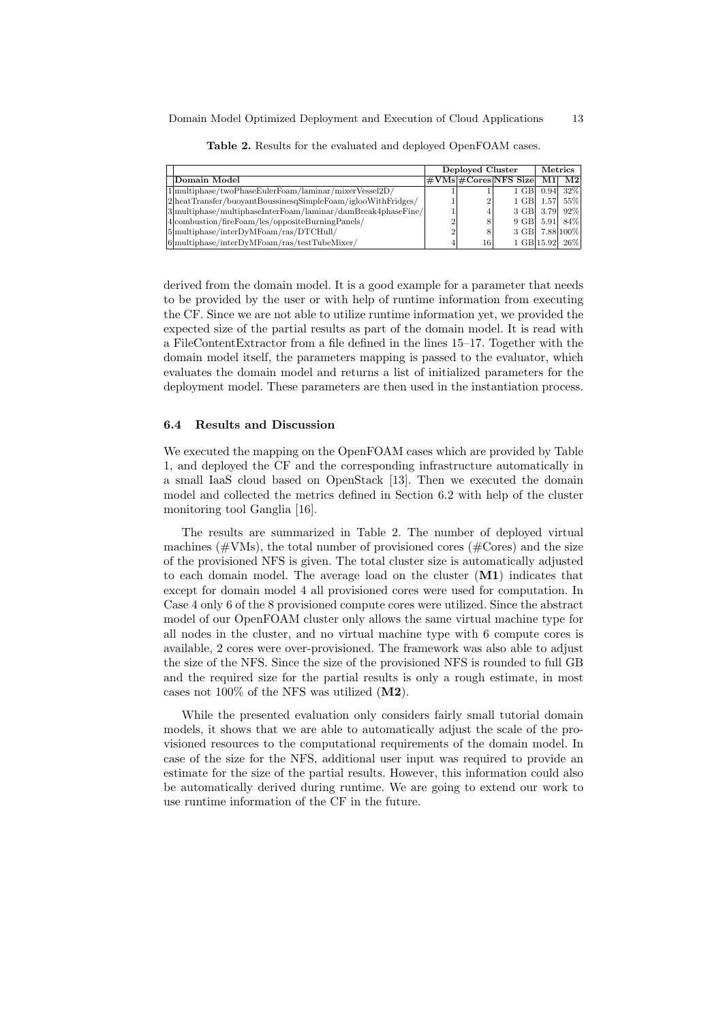|                                                                  | Deployed Cluster |    |                                                | <b>Metrics</b> |               |
|------------------------------------------------------------------|------------------|----|------------------------------------------------|----------------|---------------|
| Domain Model                                                     |                  |    | $\#\text{VMs}$ $\#\text{Cores}$ NFS Size M1 M2 |                |               |
| 1 multiphase/twoPhaseEulerFoam/laminar/mixerVessel2D/            |                  |    |                                                |                | 1 GB 0.94 32% |
| 2 heatTransfer/buoyantBoussinesqSimpleFoam/iglooWithFridges/     |                  |    | 1 GB 1.57                                      |                | 55%           |
| $ 3 $ multiphase/multiphaseInterFoam/laminar/damBreak4phaseFine/ |                  |    | 3 GBI 3.79 92%                                 |                |               |
| 4 combustion/fireFoam/les/oppositeBurningPanels/                 |                  |    | 9 GB 5.91 84%                                  |                |               |
| 5 multiphase/interDyMFoam/ras/DTCHull/                           |                  | 8  | 3 GB 7.88 100%                                 |                |               |
| $ 6 $ multiphase/interDyMFoam/ras/testTubeMixer/                 |                  | 16 | 1 GB 15.92 26%                                 |                |               |

Table 2. Results for the evaluated and deployed OpenFOAM cases.

derived from the domain model. It is a good example for a parameter that needs to be provided by the user or with help of runtime information from executing the CF. Since we are not able to utilize runtime information yet, we provided the expected size of the partial results as part of the domain model. It is read with a FileContentExtractor from a file defined in the lines 15–17. Together with the domain model itself, the parameters mapping is passed to the evaluator, which evaluates the domain model and returns a list of initialized parameters for the deployment model. These parameters are then used in the instantiation process.

#### 6.4 Results and Discussion

We executed the mapping on the OpenFOAM cases which are provided by Table 1, and deployed the CF and the corresponding infrastructure automatically in a small IaaS cloud based on OpenStack [13]. Then we executed the domain model and collected the metrics defined in Section 6.2 with help of the cluster monitoring tool Ganglia [16].

The results are summarized in Table 2. The number of deployed virtual machines ( $\#\text{VMs}$ ), the total number of provisioned cores ( $\#\text{Cores}$ ) and the size of the provisioned NFS is given. The total cluster size is automatically adjusted to each domain model. The average load on the cluster  $(M1)$  indicates that except for domain model 4 all provisioned cores were used for computation. In Case 4 only 6 of the 8 provisioned compute cores were utilized. Since the abstract model of our OpenFOAM cluster only allows the same virtual machine type for all nodes in the cluster, and no virtual machine type with 6 compute cores is available, 2 cores were over-provisioned. The framework was also able to adjust the size of the NFS. Since the size of the provisioned NFS is rounded to full GB and the required size for the partial results is only a rough estimate, in most cases not 100% of the NFS was utilized (M2).

While the presented evaluation only considers fairly small tutorial domain models, it shows that we are able to automatically adjust the scale of the provisioned resources to the computational requirements of the domain model. In case of the size for the NFS, additional user input was required to provide an estimate for the size of the partial results. However, this information could also be automatically derived during runtime. We are going to extend our work to use runtime information of the CF in the future.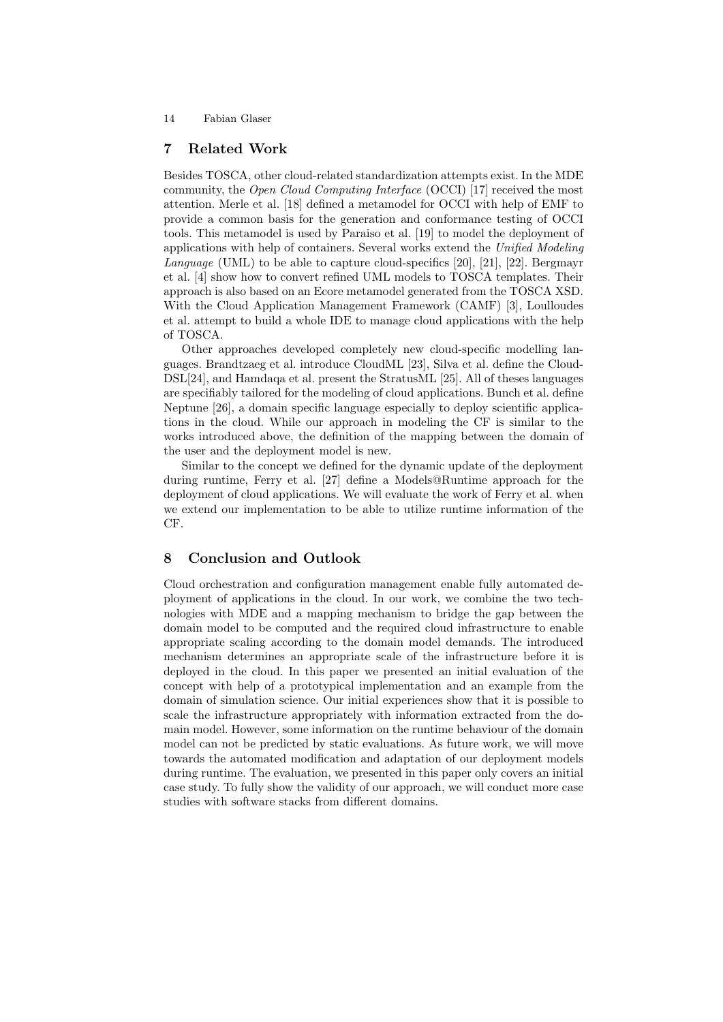### 7 Related Work

Besides TOSCA, other cloud-related standardization attempts exist. In the MDE community, the *Open Cloud Computing Interface* (OCCI) [17] received the most attention. Merle et al. [18] defined a metamodel for OCCI with help of EMF to provide a common basis for the generation and conformance testing of OCCI tools. This metamodel is used by Paraiso et al. [19] to model the deployment of applications with help of containers. Several works extend the Unified Modeling *Language* (UML) to be able to capture cloud-specifics [20], [21], [22]. Bergmayr et al. [4] show how to convert refined UML models to TOSCA templates. Their approach is also based on an Ecore metamodel generated from the TOSCA XSD. With the Cloud Application Management Framework (CAMF) [3], Loulloudes et al. attempt to build a whole IDE to manage cloud applications with the help of TOSCA.

Other approaches developed completely new cloud-specific modelling languages. Brandtzaeg et al. introduce CloudML [23], Silva et al. define the Cloud-DSL[24], and Hamdaqa et al. present the StratusML [25]. All of theses languages are specifiably tailored for the modeling of cloud applications. Bunch et al. define Neptune [26], a domain specific language especially to deploy scientific applications in the cloud. While our approach in modeling the CF is similar to the works introduced above, the definition of the mapping between the domain of the user and the deployment model is new.

Similar to the concept we defined for the dynamic update of the deployment during runtime, Ferry et al. [27] define a Models@Runtime approach for the deployment of cloud applications. We will evaluate the work of Ferry et al. when we extend our implementation to be able to utilize runtime information of the CF.

### 8 Conclusion and Outlook

Cloud orchestration and configuration management enable fully automated deployment of applications in the cloud. In our work, we combine the two technologies with MDE and a mapping mechanism to bridge the gap between the domain model to be computed and the required cloud infrastructure to enable appropriate scaling according to the domain model demands. The introduced mechanism determines an appropriate scale of the infrastructure before it is deployed in the cloud. In this paper we presented an initial evaluation of the concept with help of a prototypical implementation and an example from the domain of simulation science. Our initial experiences show that it is possible to scale the infrastructure appropriately with information extracted from the domain model. However, some information on the runtime behaviour of the domain model can not be predicted by static evaluations. As future work, we will move towards the automated modification and adaptation of our deployment models during runtime. The evaluation, we presented in this paper only covers an initial case study. To fully show the validity of our approach, we will conduct more case studies with software stacks from different domains.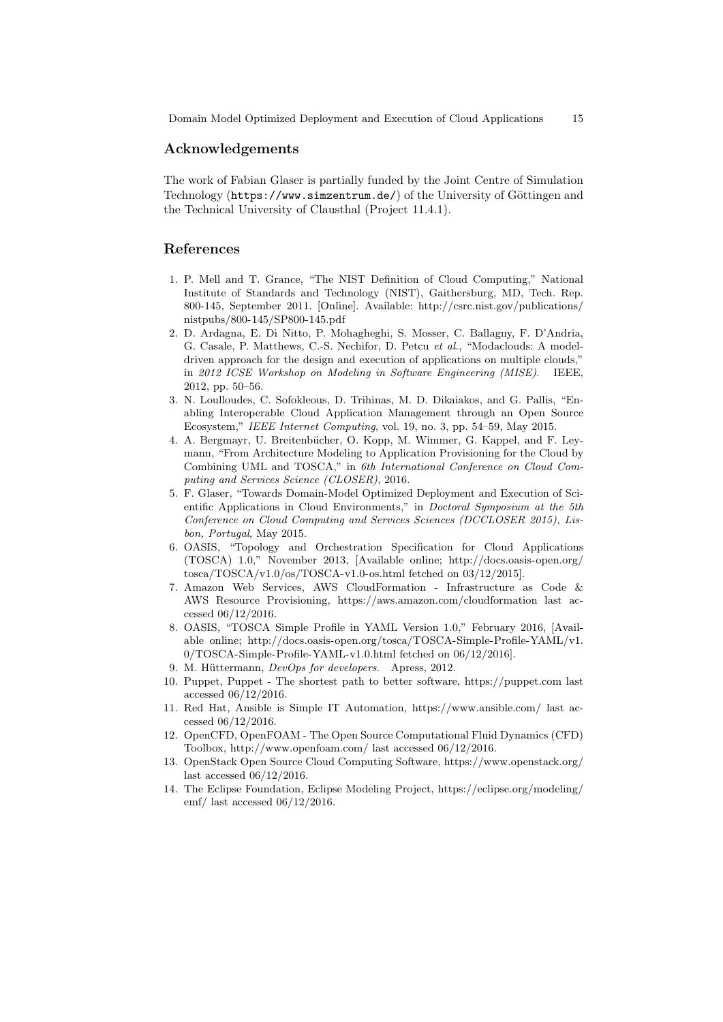#### Acknowledgements

The work of Fabian Glaser is partially funded by the Joint Centre of Simulation Technology (https://www.simzentrum.de/) of the University of Göttingen and the Technical University of Clausthal (Project 11.4.1).

### References

- 1. P. Mell and T. Grance, "The NIST Definition of Cloud Computing," National Institute of Standards and Technology (NIST), Gaithersburg, MD, Tech. Rep. 800-145, September 2011. [Online]. Available: http://csrc.nist.gov/publications/ nistpubs/800-145/SP800-145.pdf
- 2. D. Ardagna, E. Di Nitto, P. Mohagheghi, S. Mosser, C. Ballagny, F. D'Andria, G. Casale, P. Matthews, C.-S. Nechifor, D. Petcu et al., "Modaclouds: A modeldriven approach for the design and execution of applications on multiple clouds," in 2012 ICSE Workshop on Modeling in Software Engineering (MISE). IEEE, 2012, pp. 50–56.
- 3. N. Loulloudes, C. Sofokleous, D. Trihinas, M. D. Dikaiakos, and G. Pallis, "Enabling Interoperable Cloud Application Management through an Open Source Ecosystem," IEEE Internet Computing, vol. 19, no. 3, pp. 54–59, May 2015.
- 4. A. Bergmayr, U. Breitenbücher, O. Kopp, M. Wimmer, G. Kappel, and F. Leymann, "From Architecture Modeling to Application Provisioning for the Cloud by Combining UML and TOSCA," in 6th International Conference on Cloud Computing and Services Science (CLOSER), 2016.
- 5. F. Glaser, "Towards Domain-Model Optimized Deployment and Execution of Scientific Applications in Cloud Environments," in Doctoral Symposium at the 5th Conference on Cloud Computing and Services Sciences (DCCLOSER 2015), Lisbon, Portugal, May 2015.
- 6. OASIS, "Topology and Orchestration Specification for Cloud Applications (TOSCA) 1.0," November 2013, [Available online; http://docs.oasis-open.org/ tosca/TOSCA/v1.0/os/TOSCA-v1.0-os.html fetched on 03/12/2015].
- 7. Amazon Web Services, AWS CloudFormation Infrastructure as Code & AWS Resource Provisioning, https://aws.amazon.com/cloudformation last accessed 06/12/2016.
- 8. OASIS, "TOSCA Simple Profile in YAML Version 1.0," February 2016, [Available online; http://docs.oasis-open.org/tosca/TOSCA-Simple-Profile-YAML/v1. 0/TOSCA-Simple-Profile-YAML-v1.0.html fetched on 06/12/2016].
- 9. M. Hüttermann, *DevOps for developers*. Apress, 2012.
- 10. Puppet, Puppet The shortest path to better software, https://puppet.com last accessed 06/12/2016.
- 11. Red Hat, Ansible is Simple IT Automation, https://www.ansible.com/ last accessed 06/12/2016.
- 12. OpenCFD, OpenFOAM The Open Source Computational Fluid Dynamics (CFD) Toolbox, http://www.openfoam.com/ last accessed 06/12/2016.
- 13. OpenStack Open Source Cloud Computing Software, https://www.openstack.org/ last accessed 06/12/2016.
- 14. The Eclipse Foundation, Eclipse Modeling Project, https://eclipse.org/modeling/ emf/ last accessed  $06/12/2016$ .